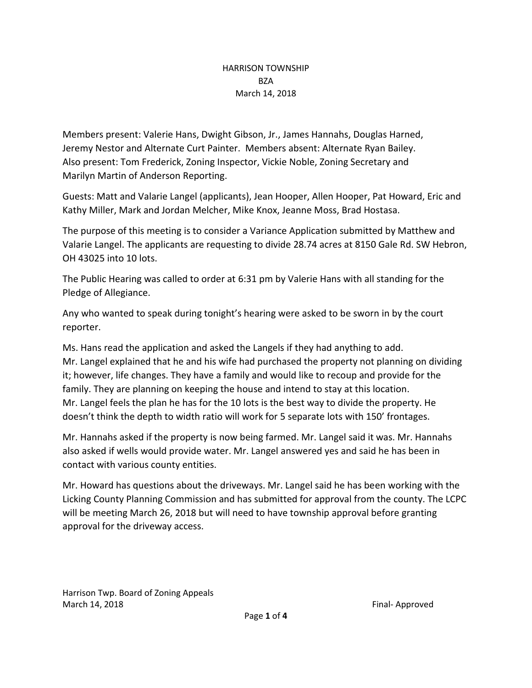# HARRISON TOWNSHIP **BZA** March 14, 2018

Members present: Valerie Hans, Dwight Gibson, Jr., James Hannahs, Douglas Harned, Jeremy Nestor and Alternate Curt Painter. Members absent: Alternate Ryan Bailey. Also present: Tom Frederick, Zoning Inspector, Vickie Noble, Zoning Secretary and Marilyn Martin of Anderson Reporting.

Guests: Matt and Valarie Langel (applicants), Jean Hooper, Allen Hooper, Pat Howard, Eric and Kathy Miller, Mark and Jordan Melcher, Mike Knox, Jeanne Moss, Brad Hostasa.

The purpose of this meeting is to consider a Variance Application submitted by Matthew and Valarie Langel. The applicants are requesting to divide 28.74 acres at 8150 Gale Rd. SW Hebron, OH 43025 into 10 lots.

The Public Hearing was called to order at 6:31 pm by Valerie Hans with all standing for the Pledge of Allegiance.

Any who wanted to speak during tonight's hearing were asked to be sworn in by the court reporter.

Ms. Hans read the application and asked the Langels if they had anything to add. Mr. Langel explained that he and his wife had purchased the property not planning on dividing it; however, life changes. They have a family and would like to recoup and provide for the family. They are planning on keeping the house and intend to stay at this location. Mr. Langel feels the plan he has for the 10 lots is the best way to divide the property. He doesn't think the depth to width ratio will work for 5 separate lots with 150' frontages.

Mr. Hannahs asked if the property is now being farmed. Mr. Langel said it was. Mr. Hannahs also asked if wells would provide water. Mr. Langel answered yes and said he has been in contact with various county entities.

Mr. Howard has questions about the driveways. Mr. Langel said he has been working with the Licking County Planning Commission and has submitted for approval from the county. The LCPC will be meeting March 26, 2018 but will need to have township approval before granting approval for the driveway access.

Harrison Twp. Board of Zoning Appeals March 14, 2018 **Final-** Approved **Final-** Approved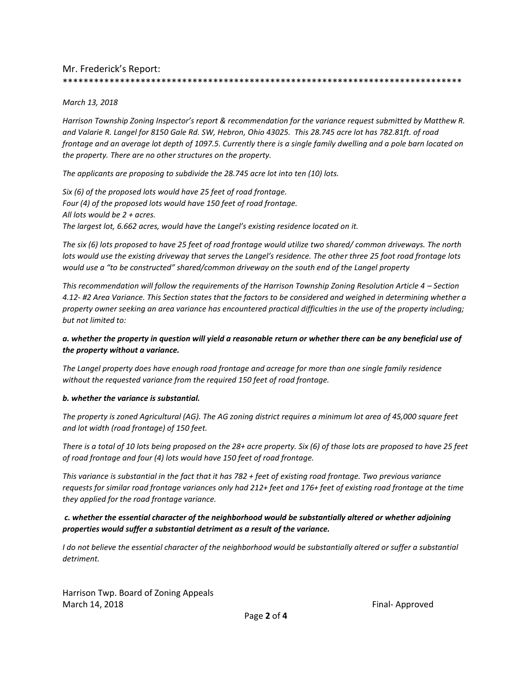## Mr. Frederick's Report:

#### *March 13, 2018*

*Harrison Township Zoning Inspector's report & recommendation for the variance request submitted by Matthew R. and Valarie R. Langel for 8150 Gale Rd. SW, Hebron, Ohio 43025. This 28.745 acre lot has 782.81ft. of road frontage and an average lot depth of 1097.5. Currently there is a single family dwelling and a pole barn located on the property. There are no other structures on the property.* 

\*\*\*\*\*\*\*\*\*\*\*\*\*\*\*\*\*\*\*\*\*\*\*\*\*\*\*\*\*\*\*\*\*\*\*\*\*\*\*\*\*\*\*\*\*\*\*\*\*\*\*\*\*\*\*\*\*\*\*\*\*\*\*\*\*\*\*\*\*\*\*\*\*\*\*\*\*

*The applicants are proposing to subdivide the 28.745 acre lot into ten (10) lots.* 

*Six (6) of the proposed lots would have 25 feet of road frontage. Four (4) of the proposed lots would have 150 feet of road frontage. All lots would be 2 + acres. The largest lot, 6.662 acres, would have the Langel's existing residence located on it.*

*The six (6) lots proposed to have 25 feet of road frontage would utilize two shared/ common driveways. The north lots would use the existing driveway that serves the Langel's residence. The other three 25 foot road frontage lots would use a "to be constructed" shared/common driveway on the south end of the Langel property*

*This recommendation will follow the requirements of the Harrison Township Zoning Resolution Article 4 – Section 4.12- #2 Area Variance. This Section states that the factors to be considered and weighed in determining whether a property owner seeking an area variance has encountered practical difficulties in the use of the property including; but not limited to:* 

## *a. whether the property in question will yield a reasonable return or whether there can be any beneficial use of the property without a variance.*

*The Langel property does have enough road frontage and acreage for more than one single family residence without the requested variance from the required 150 feet of road frontage.*

#### *b. whether the variance is substantial.*

*The property is zoned Agricultural (AG). The AG zoning district requires a minimum lot area of 45,000 square feet and lot width (road frontage) of 150 feet.* 

*There is a total of 10 lots being proposed on the 28+ acre property. Six (6) of those lots are proposed to have 25 feet of road frontage and four (4) lots would have 150 feet of road frontage.*

*This variance is substantial in the fact that it has 782 + feet of existing road frontage. Two previous variance requests for similar road frontage variances only had 212+ feet and 176+ feet of existing road frontage at the time they applied for the road frontage variance.* 

## *c. whether the essential character of the neighborhood would be substantially altered or whether adjoining properties would suffer a substantial detriment as a result of the variance.*

*I* do not believe the essential character of the neighborhood would be substantially altered or suffer a substantial *detriment.*

Harrison Twp. Board of Zoning Appeals March 14, 2018 **Final-** Approved **Final-** Approved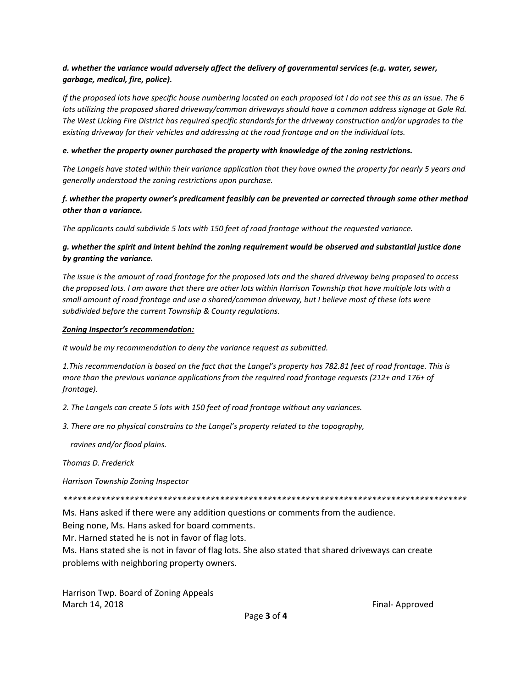## *d. whether the variance would adversely affect the delivery of governmental services (e.g. water, sewer, garbage, medical, fire, police).*

*If the proposed lots have specific house numbering located on each proposed lot I do not see this as an issue. The 6 lots utilizing the proposed shared driveway/common driveways should have a common address signage at Gale Rd. The West Licking Fire District has required specific standards for the driveway construction and/or upgrades to the existing driveway for their vehicles and addressing at the road frontage and on the individual lots.* 

#### *e. whether the property owner purchased the property with knowledge of the zoning restrictions.*

*The Langels have stated within their variance application that they have owned the property for nearly 5 years and generally understood the zoning restrictions upon purchase.* 

#### *f. whether the property owner's predicament feasibly can be prevented or corrected through some other method other than a variance.*

*The applicants could subdivide 5 lots with 150 feet of road frontage without the requested variance.* 

## *g. whether the spirit and intent behind the zoning requirement would be observed and substantial justice done by granting the variance.*

*The issue is the amount of road frontage for the proposed lots and the shared driveway being proposed to access the proposed lots. I am aware that there are other lots within Harrison Township that have multiple lots with a small amount of road frontage and use a shared/common driveway, but I believe most of these lots were subdivided before the current Township & County regulations.*

#### *Zoning Inspector's recommendation:*

*It would be my recommendation to deny the variance request as submitted.* 

*1.This recommendation is based on the fact that the Langel's property has 782.81 feet of road frontage. This is more than the previous variance applications from the required road frontage requests (212+ and 176+ of frontage).*

*2. The Langels can create 5 lots with 150 feet of road frontage without any variances.* 

*3. There are no physical constrains to the Langel's property related to the topography,* 

 *ravines and/or flood plains.* 

*Thomas D. Frederick*

*Harrison Township Zoning Inspector*

*\*\*\*\*\*\*\*\*\*\*\*\*\*\*\*\*\*\*\*\*\*\*\*\*\*\*\*\*\*\*\*\*\*\*\*\*\*\*\*\*\*\*\*\*\*\*\*\*\*\*\*\*\*\*\*\*\*\*\*\*\*\*\*\*\*\*\*\*\*\*\*\*\*\*\*\*\*\*\*\*\*\*\*\*\**

Ms. Hans asked if there were any addition questions or comments from the audience.

Being none, Ms. Hans asked for board comments.

Mr. Harned stated he is not in favor of flag lots.

Ms. Hans stated she is not in favor of flag lots. She also stated that shared driveways can create problems with neighboring property owners.

Harrison Twp. Board of Zoning Appeals March 14, 2018 **Final-** Approved **Final-** Approved